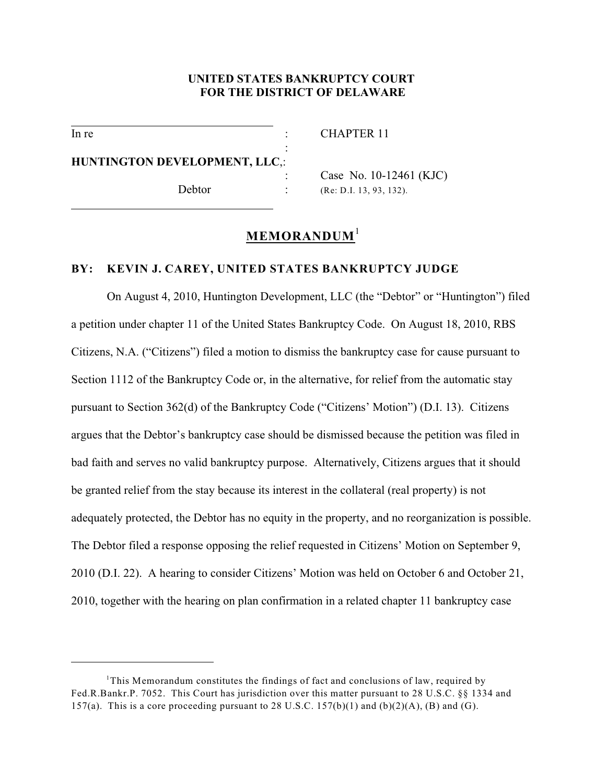## **UNITED STATES BANKRUPTCY COURT FOR THE DISTRICT OF DELAWARE**

:

 $\overline{a}$ 

 $\overline{a}$ 

In re : CHAPTER 11

**HUNTINGTON DEVELOPMENT, LLC**,:

Case No. 10-12461 (KJC) Debtor : (Re: D.I. 13, 93, 132).

# **MEMORANDUM**<sup>1</sup>

## **BY: KEVIN J. CAREY, UNITED STATES BANKRUPTCY JUDGE**

On August 4, 2010, Huntington Development, LLC (the "Debtor" or "Huntington") filed a petition under chapter 11 of the United States Bankruptcy Code. On August 18, 2010, RBS Citizens, N.A. ("Citizens") filed a motion to dismiss the bankruptcy case for cause pursuant to Section 1112 of the Bankruptcy Code or, in the alternative, for relief from the automatic stay pursuant to Section 362(d) of the Bankruptcy Code ("Citizens' Motion") (D.I. 13). Citizens argues that the Debtor's bankruptcy case should be dismissed because the petition was filed in bad faith and serves no valid bankruptcy purpose. Alternatively, Citizens argues that it should be granted relief from the stay because its interest in the collateral (real property) is not adequately protected, the Debtor has no equity in the property, and no reorganization is possible. The Debtor filed a response opposing the relief requested in Citizens' Motion on September 9, 2010 (D.I. 22). A hearing to consider Citizens' Motion was held on October 6 and October 21, 2010, together with the hearing on plan confirmation in a related chapter 11 bankruptcy case

<sup>&</sup>lt;sup>1</sup>This Memorandum constitutes the findings of fact and conclusions of law, required by Fed.R.Bankr.P. 7052. This Court has jurisdiction over this matter pursuant to 28 U.S.C. §§ 1334 and 157(a). This is a core proceeding pursuant to 28 U.S.C.  $157(b)(1)$  and  $(b)(2)(A)$ ,  $(B)$  and  $(G)$ .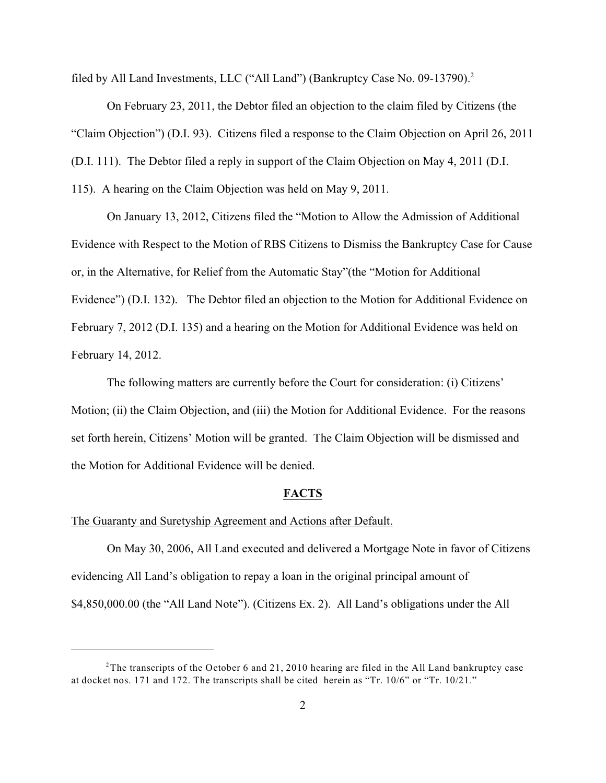filed by All Land Investments, LLC ("All Land") (Bankruptcy Case No. 09-13790).<sup>2</sup>

On February 23, 2011, the Debtor filed an objection to the claim filed by Citizens (the "Claim Objection") (D.I. 93). Citizens filed a response to the Claim Objection on April 26, 2011 (D.I. 111). The Debtor filed a reply in support of the Claim Objection on May 4, 2011 (D.I.

115). A hearing on the Claim Objection was held on May 9, 2011.

On January 13, 2012, Citizens filed the "Motion to Allow the Admission of Additional Evidence with Respect to the Motion of RBS Citizens to Dismiss the Bankruptcy Case for Cause or, in the Alternative, for Relief from the Automatic Stay"(the "Motion for Additional Evidence") (D.I. 132). The Debtor filed an objection to the Motion for Additional Evidence on February 7, 2012 (D.I. 135) and a hearing on the Motion for Additional Evidence was held on February 14, 2012.

The following matters are currently before the Court for consideration: (i) Citizens' Motion; (ii) the Claim Objection, and (iii) the Motion for Additional Evidence. For the reasons set forth herein, Citizens' Motion will be granted. The Claim Objection will be dismissed and the Motion for Additional Evidence will be denied.

#### **FACTS**

## The Guaranty and Suretyship Agreement and Actions after Default.

On May 30, 2006, All Land executed and delivered a Mortgage Note in favor of Citizens evidencing All Land's obligation to repay a loan in the original principal amount of \$4,850,000.00 (the "All Land Note"). (Citizens Ex. 2). All Land's obligations under the All

<sup>&</sup>lt;sup>2</sup>The transcripts of the October 6 and 21, 2010 hearing are filed in the All Land bankruptcy case at docket nos. 171 and 172. The transcripts shall be cited herein as "Tr. 10/6" or "Tr. 10/21."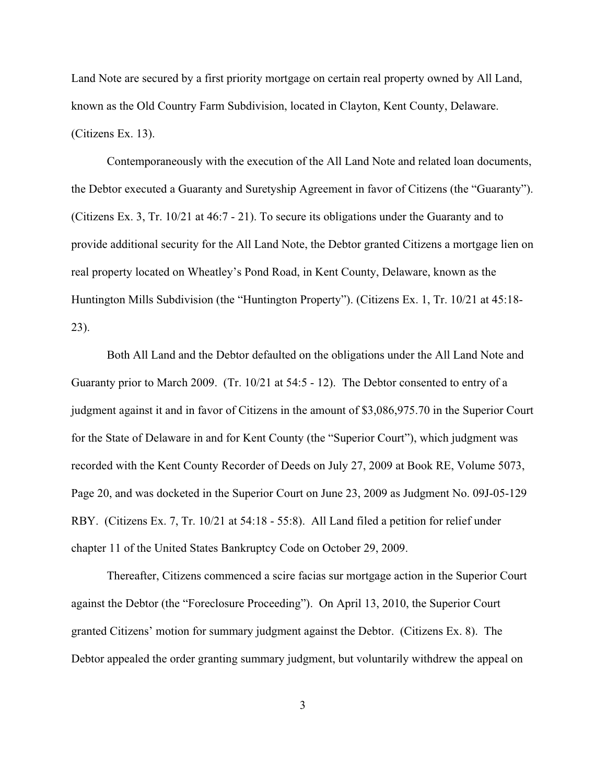Land Note are secured by a first priority mortgage on certain real property owned by All Land, known as the Old Country Farm Subdivision, located in Clayton, Kent County, Delaware. (Citizens Ex. 13).

Contemporaneously with the execution of the All Land Note and related loan documents, the Debtor executed a Guaranty and Suretyship Agreement in favor of Citizens (the "Guaranty"). (Citizens Ex. 3, Tr. 10/21 at 46:7 - 21). To secure its obligations under the Guaranty and to provide additional security for the All Land Note, the Debtor granted Citizens a mortgage lien on real property located on Wheatley's Pond Road, in Kent County, Delaware, known as the Huntington Mills Subdivision (the "Huntington Property"). (Citizens Ex. 1, Tr. 10/21 at 45:18- 23).

Both All Land and the Debtor defaulted on the obligations under the All Land Note and Guaranty prior to March 2009. (Tr. 10/21 at 54:5 - 12). The Debtor consented to entry of a judgment against it and in favor of Citizens in the amount of \$3,086,975.70 in the Superior Court for the State of Delaware in and for Kent County (the "Superior Court"), which judgment was recorded with the Kent County Recorder of Deeds on July 27, 2009 at Book RE, Volume 5073, Page 20, and was docketed in the Superior Court on June 23, 2009 as Judgment No. 09J-05-129 RBY. (Citizens Ex. 7, Tr. 10/21 at 54:18 - 55:8). All Land filed a petition for relief under chapter 11 of the United States Bankruptcy Code on October 29, 2009.

Thereafter, Citizens commenced a scire facias sur mortgage action in the Superior Court against the Debtor (the "Foreclosure Proceeding"). On April 13, 2010, the Superior Court granted Citizens' motion for summary judgment against the Debtor. (Citizens Ex. 8). The Debtor appealed the order granting summary judgment, but voluntarily withdrew the appeal on

3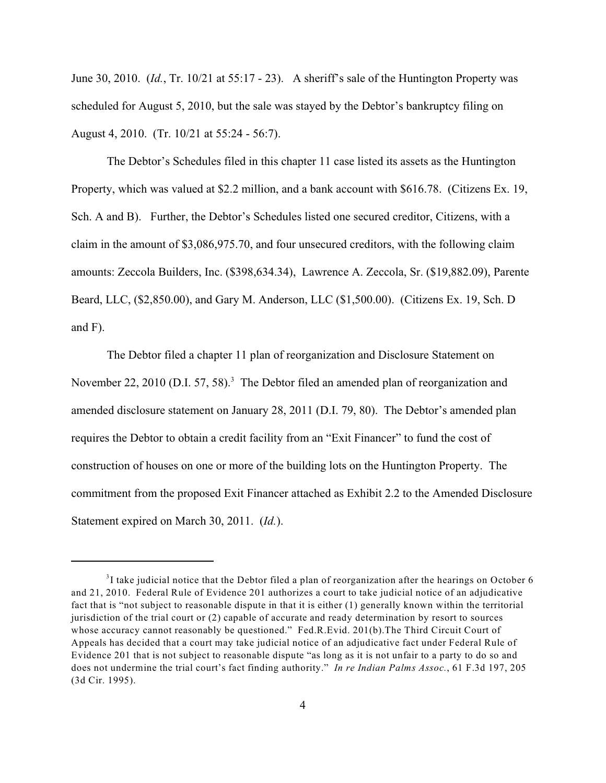June 30, 2010. (*Id.*, Tr. 10/21 at 55:17 - 23). A sheriff's sale of the Huntington Property was scheduled for August 5, 2010, but the sale was stayed by the Debtor's bankruptcy filing on August 4, 2010. (Tr. 10/21 at 55:24 - 56:7).

The Debtor's Schedules filed in this chapter 11 case listed its assets as the Huntington Property, which was valued at \$2.2 million, and a bank account with \$616.78. (Citizens Ex. 19, Sch. A and B). Further, the Debtor's Schedules listed one secured creditor, Citizens, with a claim in the amount of \$3,086,975.70, and four unsecured creditors, with the following claim amounts: Zeccola Builders, Inc. (\$398,634.34), Lawrence A. Zeccola, Sr. (\$19,882.09), Parente Beard, LLC, (\$2,850.00), and Gary M. Anderson, LLC (\$1,500.00). (Citizens Ex. 19, Sch. D and F).

The Debtor filed a chapter 11 plan of reorganization and Disclosure Statement on November 22, 2010 (D.I. 57, 58).<sup>3</sup> The Debtor filed an amended plan of reorganization and amended disclosure statement on January 28, 2011 (D.I. 79, 80). The Debtor's amended plan requires the Debtor to obtain a credit facility from an "Exit Financer" to fund the cost of construction of houses on one or more of the building lots on the Huntington Property. The commitment from the proposed Exit Financer attached as Exhibit 2.2 to the Amended Disclosure Statement expired on March 30, 2011. (*Id.*).

 $3$ I take judicial notice that the Debtor filed a plan of reorganization after the hearings on October 6 and 21, 2010. Federal Rule of Evidence 201 authorizes a court to take judicial notice of an adjudicative fact that is "not subject to reasonable dispute in that it is either (1) generally known within the territorial jurisdiction of the trial court or (2) capable of accurate and ready determination by resort to sources whose accuracy cannot reasonably be questioned." Fed.R.Evid. 201(b).The Third Circuit Court of Appeals has decided that a court may take judicial notice of an adjudicative fact under Federal Rule of Evidence 201 that is not subject to reasonable dispute "as long as it is not unfair to a party to do so and does not undermine the trial court's fact finding authority." *In re Indian Palms Assoc.*, 61 F.3d 197, 205 (3d Cir. 1995).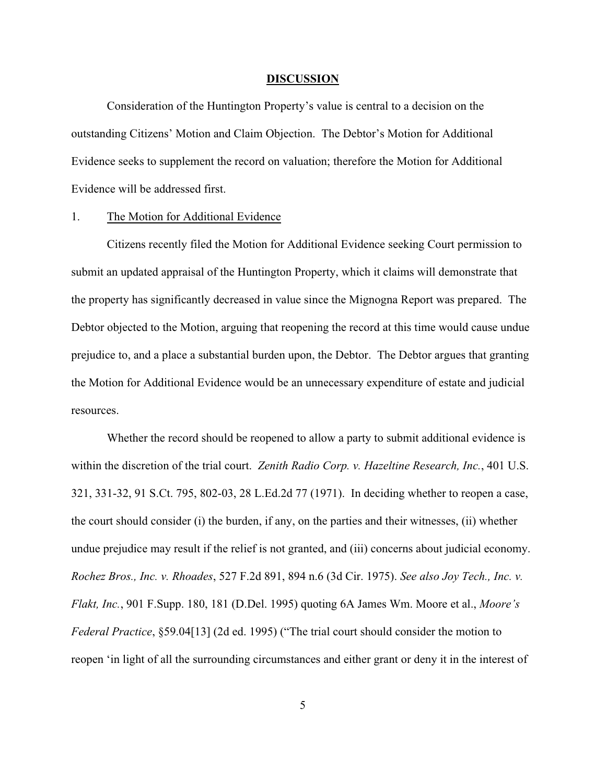#### **DISCUSSION**

Consideration of the Huntington Property's value is central to a decision on the outstanding Citizens' Motion and Claim Objection. The Debtor's Motion for Additional Evidence seeks to supplement the record on valuation; therefore the Motion for Additional Evidence will be addressed first.

#### 1. The Motion for Additional Evidence

Citizens recently filed the Motion for Additional Evidence seeking Court permission to submit an updated appraisal of the Huntington Property, which it claims will demonstrate that the property has significantly decreased in value since the Mignogna Report was prepared. The Debtor objected to the Motion, arguing that reopening the record at this time would cause undue prejudice to, and a place a substantial burden upon, the Debtor. The Debtor argues that granting the Motion for Additional Evidence would be an unnecessary expenditure of estate and judicial resources.

Whether the record should be reopened to allow a party to submit additional evidence is within the discretion of the trial court. *Zenith Radio Corp. v. Hazeltine Research, Inc.*, 401 U.S. 321, 331-32, 91 S.Ct. 795, 802-03, 28 L.Ed.2d 77 (1971). In deciding whether to reopen a case, the court should consider (i) the burden, if any, on the parties and their witnesses, (ii) whether undue prejudice may result if the relief is not granted, and (iii) concerns about judicial economy. *Rochez Bros., Inc. v. Rhoades*, 527 F.2d 891, 894 n.6 (3d Cir. 1975). *See also Joy Tech., Inc. v. Flakt, Inc.*, 901 F.Supp. 180, 181 (D.Del. 1995) quoting 6A James Wm. Moore et al., *Moore's Federal Practice*, §59.04[13] (2d ed. 1995) ("The trial court should consider the motion to reopen 'in light of all the surrounding circumstances and either grant or deny it in the interest of

5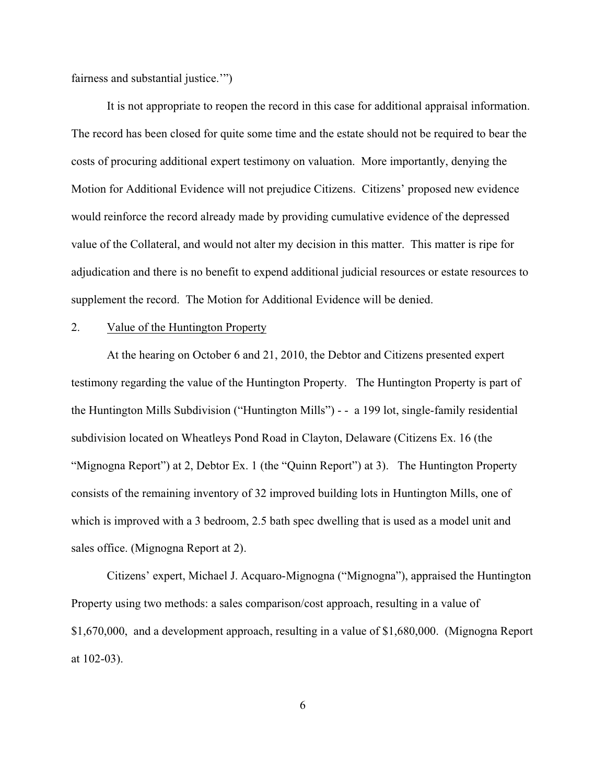fairness and substantial justice.'")

It is not appropriate to reopen the record in this case for additional appraisal information. The record has been closed for quite some time and the estate should not be required to bear the costs of procuring additional expert testimony on valuation. More importantly, denying the Motion for Additional Evidence will not prejudice Citizens. Citizens' proposed new evidence would reinforce the record already made by providing cumulative evidence of the depressed value of the Collateral, and would not alter my decision in this matter. This matter is ripe for adjudication and there is no benefit to expend additional judicial resources or estate resources to supplement the record. The Motion for Additional Evidence will be denied.

## 2. Value of the Huntington Property

At the hearing on October 6 and 21, 2010, the Debtor and Citizens presented expert testimony regarding the value of the Huntington Property. The Huntington Property is part of the Huntington Mills Subdivision ("Huntington Mills") - - a 199 lot, single-family residential subdivision located on Wheatleys Pond Road in Clayton, Delaware (Citizens Ex. 16 (the "Mignogna Report") at 2, Debtor Ex. 1 (the "Quinn Report") at 3). The Huntington Property consists of the remaining inventory of 32 improved building lots in Huntington Mills, one of which is improved with a 3 bedroom, 2.5 bath spec dwelling that is used as a model unit and sales office. (Mignogna Report at 2).

Citizens' expert, Michael J. Acquaro-Mignogna ("Mignogna"), appraised the Huntington Property using two methods: a sales comparison/cost approach, resulting in a value of \$1,670,000, and a development approach, resulting in a value of \$1,680,000. (Mignogna Report at 102-03).

6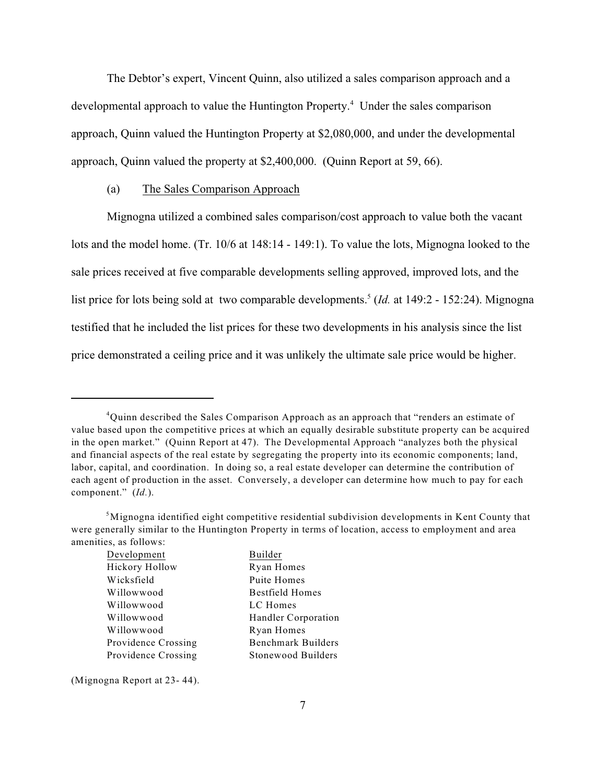The Debtor's expert, Vincent Quinn, also utilized a sales comparison approach and a developmental approach to value the Huntington Property.<sup> $4$ </sup> Under the sales comparison approach, Quinn valued the Huntington Property at \$2,080,000, and under the developmental approach, Quinn valued the property at \$2,400,000. (Quinn Report at 59, 66).

#### (a) The Sales Comparison Approach

Mignogna utilized a combined sales comparison/cost approach to value both the vacant lots and the model home. (Tr. 10/6 at 148:14 - 149:1). To value the lots, Mignogna looked to the sale prices received at five comparable developments selling approved, improved lots, and the list price for lots being sold at two comparable developments.<sup>5</sup> (*Id.* at 149:2 - 152:24). Mignogna testified that he included the list prices for these two developments in his analysis since the list price demonstrated a ceiling price and it was unlikely the ultimate sale price would be higher.

Handler Corporation

Benchmark Builders Stonewood Builders

Ryan Homes

Builder Ryan Homes Puite Homes **Bestfield Homes** LC Homes

| Development         |  |
|---------------------|--|
| Hickory Hollow      |  |
| Wicksfield          |  |
| Willowwood          |  |
| Willowwood          |  |
| Willowwood          |  |
| Willowwood          |  |
| Providence Crossing |  |
| Providence Crossing |  |

(Mignogna Report at 23- 44).

<sup>&</sup>lt;sup>4</sup>Quinn described the Sales Comparison Approach as an approach that "renders an estimate of value based upon the competitive prices at which an equally desirable substitute property can be acquired in the open market." (Quinn Report at 47). The Developmental Approach "analyzes both the physical and financial aspects of the real estate by segregating the property into its economic components; land, labor, capital, and coordination. In doing so, a real estate developer can determine the contribution of each agent of production in the asset. Conversely, a developer can determine how much to pay for each component." (*Id.*).

 $5$ Mignogna identified eight competitive residential subdivision developments in Kent County that were generally similar to the Huntington Property in terms of location, access to employment and area amenities, as follows: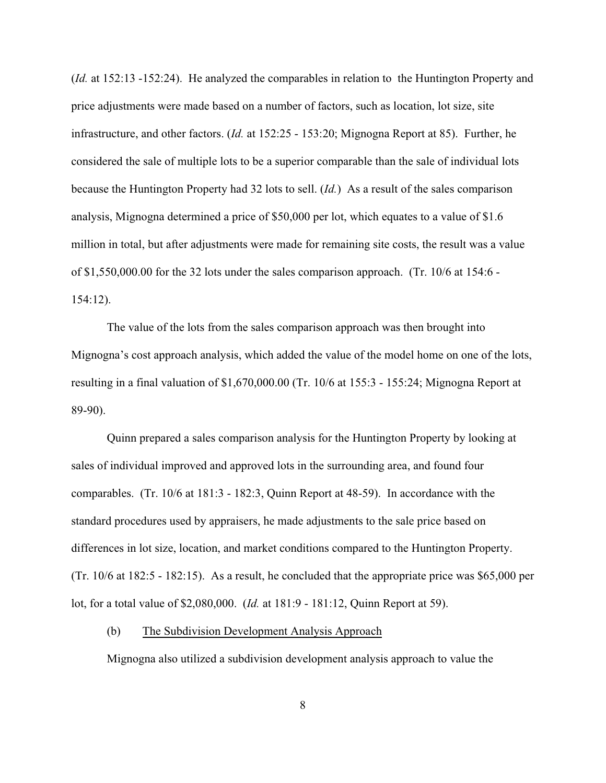(*Id.* at 152:13 -152:24). He analyzed the comparables in relation to the Huntington Property and price adjustments were made based on a number of factors, such as location, lot size, site infrastructure, and other factors. (*Id.* at 152:25 - 153:20; Mignogna Report at 85). Further, he considered the sale of multiple lots to be a superior comparable than the sale of individual lots because the Huntington Property had 32 lots to sell. (*Id.*) As a result of the sales comparison analysis, Mignogna determined a price of \$50,000 per lot, which equates to a value of \$1.6 million in total, but after adjustments were made for remaining site costs, the result was a value of \$1,550,000.00 for the 32 lots under the sales comparison approach. (Tr. 10/6 at 154:6 - 154:12).

The value of the lots from the sales comparison approach was then brought into Mignogna's cost approach analysis, which added the value of the model home on one of the lots, resulting in a final valuation of \$1,670,000.00 (Tr. 10/6 at 155:3 - 155:24; Mignogna Report at 89-90).

Quinn prepared a sales comparison analysis for the Huntington Property by looking at sales of individual improved and approved lots in the surrounding area, and found four comparables. (Tr. 10/6 at 181:3 - 182:3, Quinn Report at 48-59). In accordance with the standard procedures used by appraisers, he made adjustments to the sale price based on differences in lot size, location, and market conditions compared to the Huntington Property. (Tr. 10/6 at 182:5 - 182:15). As a result, he concluded that the appropriate price was \$65,000 per lot, for a total value of \$2,080,000. (*Id.* at 181:9 - 181:12, Quinn Report at 59).

### (b) The Subdivision Development Analysis Approach

Mignogna also utilized a subdivision development analysis approach to value the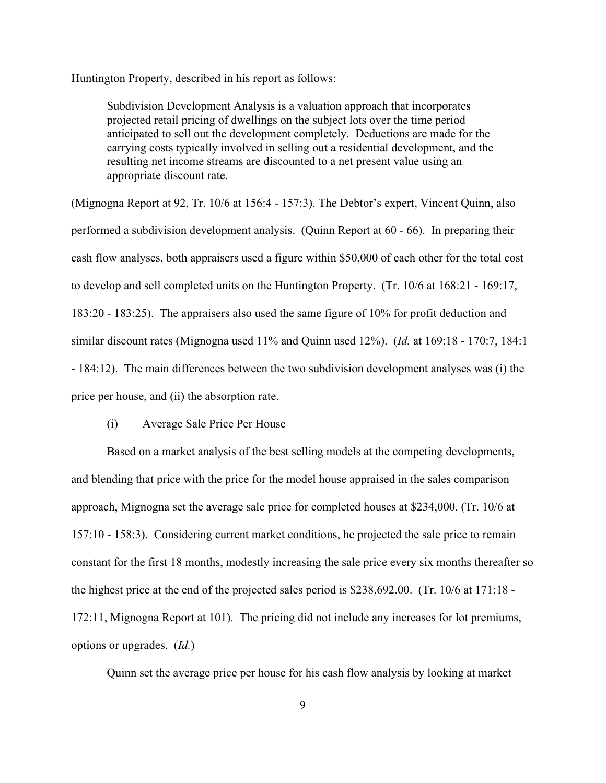Huntington Property, described in his report as follows:

Subdivision Development Analysis is a valuation approach that incorporates projected retail pricing of dwellings on the subject lots over the time period anticipated to sell out the development completely. Deductions are made for the carrying costs typically involved in selling out a residential development, and the resulting net income streams are discounted to a net present value using an appropriate discount rate.

(Mignogna Report at 92, Tr. 10/6 at 156:4 - 157:3). The Debtor's expert, Vincent Quinn, also performed a subdivision development analysis. (Quinn Report at 60 - 66). In preparing their cash flow analyses, both appraisers used a figure within \$50,000 of each other for the total cost to develop and sell completed units on the Huntington Property. (Tr. 10/6 at 168:21 - 169:17, 183:20 - 183:25). The appraisers also used the same figure of 10% for profit deduction and similar discount rates (Mignogna used 11% and Quinn used 12%). (*Id.* at 169:18 - 170:7, 184:1 - 184:12). The main differences between the two subdivision development analyses was (i) the price per house, and (ii) the absorption rate.

### (i) Average Sale Price Per House

Based on a market analysis of the best selling models at the competing developments, and blending that price with the price for the model house appraised in the sales comparison approach, Mignogna set the average sale price for completed houses at \$234,000. (Tr. 10/6 at 157:10 - 158:3). Considering current market conditions, he projected the sale price to remain constant for the first 18 months, modestly increasing the sale price every six months thereafter so the highest price at the end of the projected sales period is \$238,692.00. (Tr. 10/6 at 171:18 - 172:11, Mignogna Report at 101). The pricing did not include any increases for lot premiums, options or upgrades. (*Id.*)

Quinn set the average price per house for his cash flow analysis by looking at market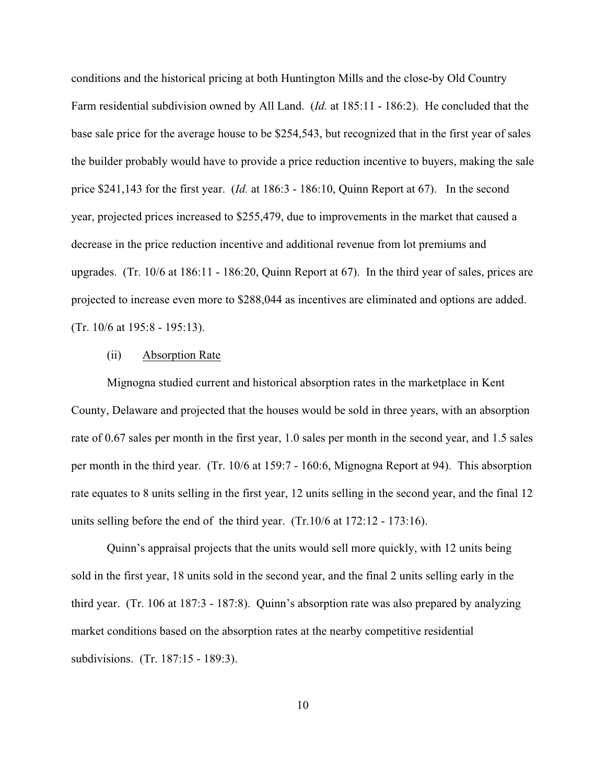conditions and the historical pricing at both Huntington Mills and the close-by Old Country Farm residential subdivision owned by All Land. (*Id.* at 185:11 - 186:2). He concluded that the base sale price for the average house to be \$254,543, but recognized that in the first year of sales the builder probably would have to provide a price reduction incentive to buyers, making the sale price \$241,143 for the first year. (*Id.* at 186:3 - 186:10, Quinn Report at 67). In the second year, projected prices increased to \$255,479, due to improvements in the market that caused a decrease in the price reduction incentive and additional revenue from lot premiums and upgrades. (Tr. 10/6 at 186:11 - 186:20, Quinn Report at 67). In the third year of sales, prices are projected to increase even more to \$288,044 as incentives are eliminated and options are added. (Tr. 10/6 at 195:8 - 195:13).

### (ii) Absorption Rate

Mignogna studied current and historical absorption rates in the marketplace in Kent County, Delaware and projected that the houses would be sold in three years, with an absorption rate of 0.67 sales per month in the first year, 1.0 sales per month in the second year, and 1.5 sales per month in the third year. (Tr. 10/6 at 159:7 - 160:6, Mignogna Report at 94). This absorption rate equates to 8 units selling in the first year, 12 units selling in the second year, and the final 12 units selling before the end of the third year. (Tr.10/6 at 172:12 - 173:16).

Quinn's appraisal projects that the units would sell more quickly, with 12 units being sold in the first year, 18 units sold in the second year, and the final 2 units selling early in the third year. (Tr. 106 at 187:3 - 187:8). Quinn's absorption rate was also prepared by analyzing market conditions based on the absorption rates at the nearby competitive residential subdivisions. (Tr. 187:15 - 189:3).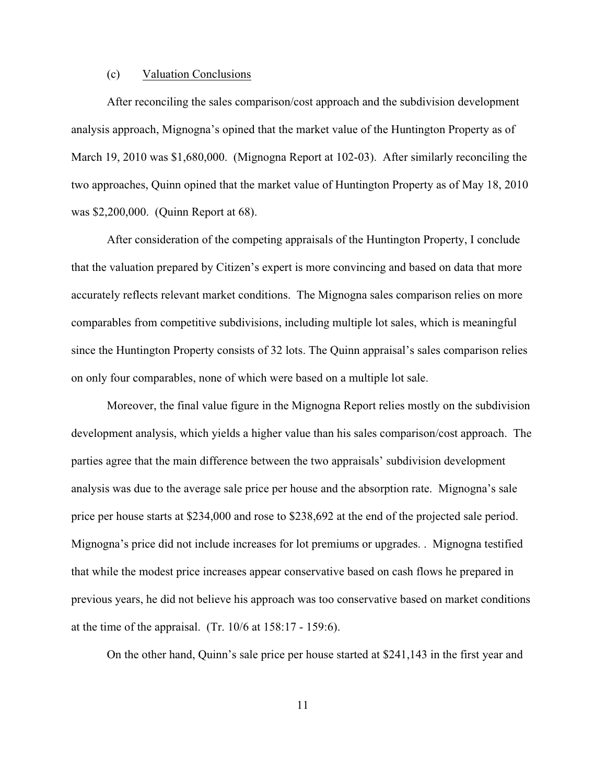### (c) Valuation Conclusions

After reconciling the sales comparison/cost approach and the subdivision development analysis approach, Mignogna's opined that the market value of the Huntington Property as of March 19, 2010 was \$1,680,000. (Mignogna Report at 102-03). After similarly reconciling the two approaches, Quinn opined that the market value of Huntington Property as of May 18, 2010 was \$2,200,000. (Quinn Report at 68).

After consideration of the competing appraisals of the Huntington Property, I conclude that the valuation prepared by Citizen's expert is more convincing and based on data that more accurately reflects relevant market conditions. The Mignogna sales comparison relies on more comparables from competitive subdivisions, including multiple lot sales, which is meaningful since the Huntington Property consists of 32 lots. The Quinn appraisal's sales comparison relies on only four comparables, none of which were based on a multiple lot sale.

Moreover, the final value figure in the Mignogna Report relies mostly on the subdivision development analysis, which yields a higher value than his sales comparison/cost approach. The parties agree that the main difference between the two appraisals' subdivision development analysis was due to the average sale price per house and the absorption rate. Mignogna's sale price per house starts at \$234,000 and rose to \$238,692 at the end of the projected sale period. Mignogna's price did not include increases for lot premiums or upgrades. . Mignogna testified that while the modest price increases appear conservative based on cash flows he prepared in previous years, he did not believe his approach was too conservative based on market conditions at the time of the appraisal. (Tr. 10/6 at 158:17 - 159:6).

On the other hand, Quinn's sale price per house started at \$241,143 in the first year and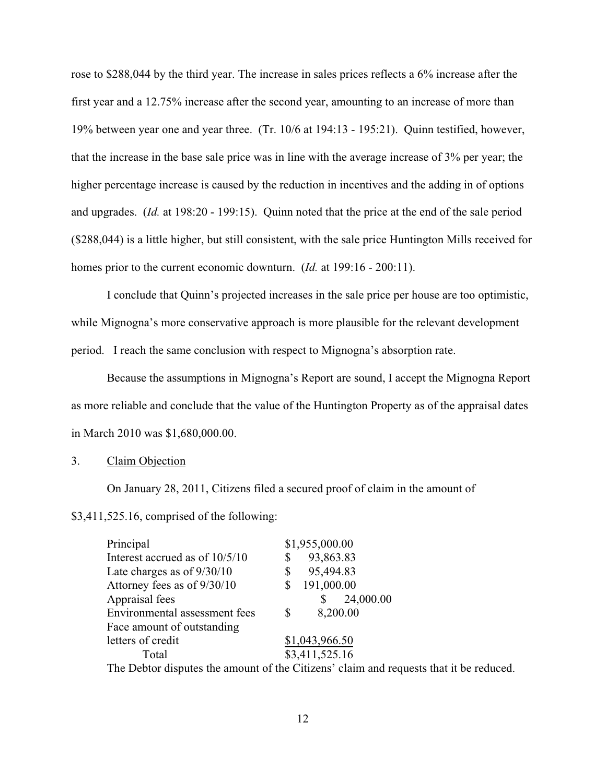rose to \$288,044 by the third year. The increase in sales prices reflects a 6% increase after the first year and a 12.75% increase after the second year, amounting to an increase of more than 19% between year one and year three. (Tr. 10/6 at 194:13 - 195:21). Quinn testified, however, that the increase in the base sale price was in line with the average increase of 3% per year; the higher percentage increase is caused by the reduction in incentives and the adding in of options and upgrades. (*Id.* at 198:20 - 199:15). Quinn noted that the price at the end of the sale period (\$288,044) is a little higher, but still consistent, with the sale price Huntington Mills received for homes prior to the current economic downturn. (*Id.* at 199:16 - 200:11).

I conclude that Quinn's projected increases in the sale price per house are too optimistic, while Mignogna's more conservative approach is more plausible for the relevant development period. I reach the same conclusion with respect to Mignogna's absorption rate.

Because the assumptions in Mignogna's Report are sound, I accept the Mignogna Report as more reliable and conclude that the value of the Huntington Property as of the appraisal dates in March 2010 was \$1,680,000.00.

### 3. Claim Objection

On January 28, 2011, Citizens filed a secured proof of claim in the amount of

\$3,411,525.16, comprised of the following:

| Principal                                                                              | \$1,955,000.00  |  |  |  |
|----------------------------------------------------------------------------------------|-----------------|--|--|--|
| Interest accrued as of 10/5/10                                                         | 93,863.83<br>\$ |  |  |  |
| Late charges as of $9/30/10$                                                           | 95,494.83<br>\$ |  |  |  |
| Attorney fees as of 9/30/10                                                            | 191,000.00      |  |  |  |
| Appraisal fees                                                                         | 24,000.00<br>\$ |  |  |  |
| Environmental assessment fees                                                          | 8,200.00<br>\$  |  |  |  |
| Face amount of outstanding                                                             |                 |  |  |  |
| letters of credit                                                                      | \$1,043,966.50  |  |  |  |
| Total                                                                                  | \$3,411,525.16  |  |  |  |
| The Debtor disputes the amount of the Citizens' claim and requests that it be reduced. |                 |  |  |  |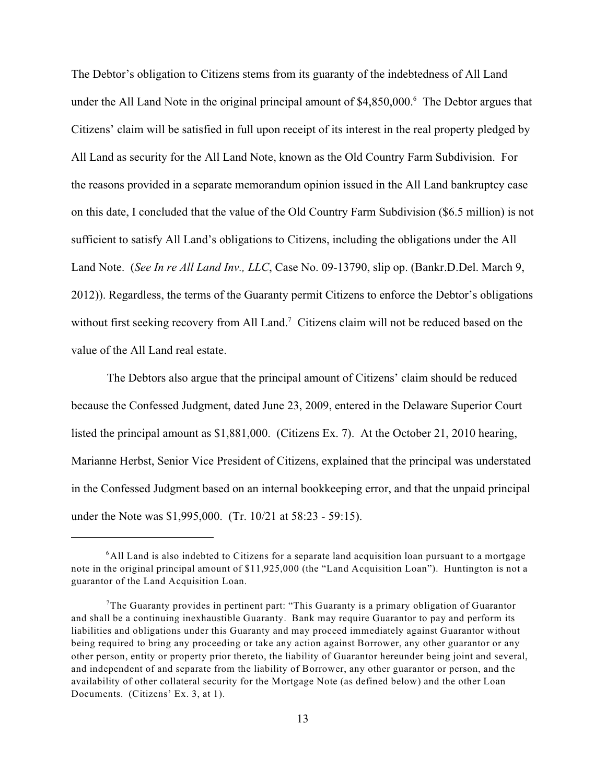The Debtor's obligation to Citizens stems from its guaranty of the indebtedness of All Land under the All Land Note in the original principal amount of \$4,850,000.<sup>6</sup> The Debtor argues that Citizens' claim will be satisfied in full upon receipt of its interest in the real property pledged by All Land as security for the All Land Note, known as the Old Country Farm Subdivision. For the reasons provided in a separate memorandum opinion issued in the All Land bankruptcy case on this date, I concluded that the value of the Old Country Farm Subdivision (\$6.5 million) is not sufficient to satisfy All Land's obligations to Citizens, including the obligations under the All Land Note. (*See In re All Land Inv., LLC*, Case No. 09-13790, slip op. (Bankr.D.Del. March 9, 2012)). Regardless, the terms of the Guaranty permit Citizens to enforce the Debtor's obligations without first seeking recovery from All Land.<sup>7</sup> Citizens claim will not be reduced based on the value of the All Land real estate.

The Debtors also argue that the principal amount of Citizens' claim should be reduced because the Confessed Judgment, dated June 23, 2009, entered in the Delaware Superior Court listed the principal amount as \$1,881,000. (Citizens Ex. 7). At the October 21, 2010 hearing, Marianne Herbst, Senior Vice President of Citizens, explained that the principal was understated in the Confessed Judgment based on an internal bookkeeping error, and that the unpaid principal under the Note was \$1,995,000. (Tr. 10/21 at 58:23 - 59:15).

 $6$ All Land is also indebted to Citizens for a separate land acquisition loan pursuant to a mortgage note in the original principal amount of \$11,925,000 (the "Land Acquisition Loan"). Huntington is not a guarantor of the Land Acquisition Loan.

 $7$ The Guaranty provides in pertinent part: "This Guaranty is a primary obligation of Guarantor and shall be a continuing inexhaustible Guaranty. Bank may require Guarantor to pay and perform its liabilities and obligations under this Guaranty and may proceed immediately against Guarantor without being required to bring any proceeding or take any action against Borrower, any other guarantor or any other person, entity or property prior thereto, the liability of Guarantor hereunder being joint and several, and independent of and separate from the liability of Borrower, any other guarantor or person, and the availability of other collateral security for the Mortgage Note (as defined below) and the other Loan Documents. (Citizens' Ex. 3, at 1).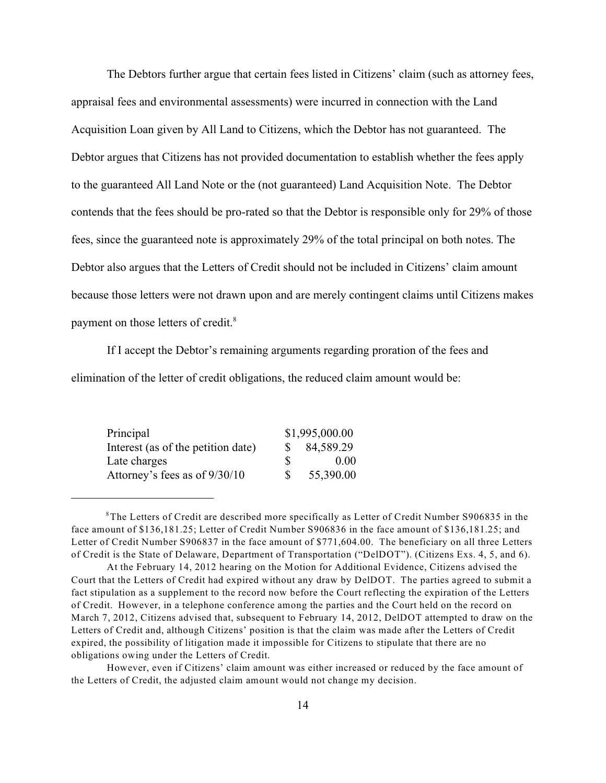The Debtors further argue that certain fees listed in Citizens' claim (such as attorney fees, appraisal fees and environmental assessments) were incurred in connection with the Land Acquisition Loan given by All Land to Citizens, which the Debtor has not guaranteed. The Debtor argues that Citizens has not provided documentation to establish whether the fees apply to the guaranteed All Land Note or the (not guaranteed) Land Acquisition Note. The Debtor contends that the fees should be pro-rated so that the Debtor is responsible only for 29% of those fees, since the guaranteed note is approximately 29% of the total principal on both notes. The Debtor also argues that the Letters of Credit should not be included in Citizens' claim amount because those letters were not drawn upon and are merely contingent claims until Citizens makes payment on those letters of credit.<sup>8</sup>

If I accept the Debtor's remaining arguments regarding proration of the fees and elimination of the letter of credit obligations, the reduced claim amount would be:

| Principal                          | \$1,995,000.00 |           |  |
|------------------------------------|----------------|-----------|--|
| Interest (as of the petition date) |                | 84,589.29 |  |
| Late charges                       | <sup>\$</sup>  | 0.00      |  |
| Attorney's fees as of 9/30/10      | <b>S</b>       | 55,390.00 |  |

 $8$ The Letters of Credit are described more specifically as Letter of Credit Number S906835 in the face amount of \$136,181.25; Letter of Credit Number S906836 in the face amount of \$136,181.25; and Letter of Credit Number S906837 in the face amount of \$771,604.00. The beneficiary on all three Letters of Credit is the State of Delaware, Department of Transportation ("DelDOT"). (Citizens Exs. 4, 5, and 6).

However, even if Citizens' claim amount was either increased or reduced by the face amount of the Letters of Credit, the adjusted claim amount would not change my decision.

At the February 14, 2012 hearing on the Motion for Additional Evidence, Citizens advised the Court that the Letters of Credit had expired without any draw by DelDOT. The parties agreed to submit a fact stipulation as a supplement to the record now before the Court reflecting the expiration of the Letters of Credit. However, in a telephone conference among the parties and the Court held on the record on March 7, 2012, Citizens advised that, subsequent to February 14, 2012, DelDOT attempted to draw on the Letters of Credit and, although Citizens' position is that the claim was made after the Letters of Credit expired, the possibility of litigation made it impossible for Citizens to stipulate that there are no obligations owing under the Letters of Credit.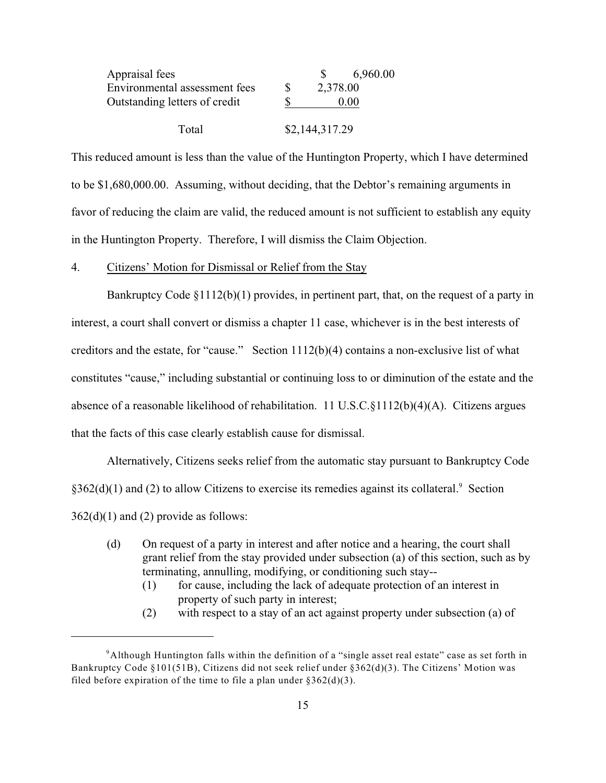| Appraisal fees                |   |                | 6,960.00 |  |
|-------------------------------|---|----------------|----------|--|
| Environmental assessment fees | S | 2,378.00       |          |  |
| Outstanding letters of credit |   |                | 0.00     |  |
| Total                         |   | \$2,144,317.29 |          |  |

This reduced amount is less than the value of the Huntington Property, which I have determined to be \$1,680,000.00. Assuming, without deciding, that the Debtor's remaining arguments in favor of reducing the claim are valid, the reduced amount is not sufficient to establish any equity in the Huntington Property. Therefore, I will dismiss the Claim Objection.

#### 4. Citizens' Motion for Dismissal or Relief from the Stay

Bankruptcy Code §1112(b)(1) provides, in pertinent part, that, on the request of a party in interest, a court shall convert or dismiss a chapter 11 case, whichever is in the best interests of creditors and the estate, for "cause." Section  $1112(b)(4)$  contains a non-exclusive list of what constitutes "cause," including substantial or continuing loss to or diminution of the estate and the absence of a reasonable likelihood of rehabilitation. 11 U.S.C.§1112(b)(4)(A). Citizens argues that the facts of this case clearly establish cause for dismissal.

Alternatively, Citizens seeks relief from the automatic stay pursuant to Bankruptcy Code  $§362(d)(1)$  and (2) to allow Citizens to exercise its remedies against its collateral.<sup>9</sup> Section  $362(d)(1)$  and (2) provide as follows:

- (d) On request of a party in interest and after notice and a hearing, the court shall grant relief from the stay provided under subsection (a) of this section, such as by terminating, annulling, modifying, or conditioning such stay--
	- (1) for cause, including the lack of adequate protection of an interest in property of such party in interest;
	- (2) with respect to a stay of an act against property under subsection (a) of

 $9$ Although Huntington falls within the definition of a "single asset real estate" case as set forth in Bankruptcy Code §101(51B), Citizens did not seek relief under §362(d)(3). The Citizens' Motion was filed before expiration of the time to file a plan under  $\S 362(d)(3)$ .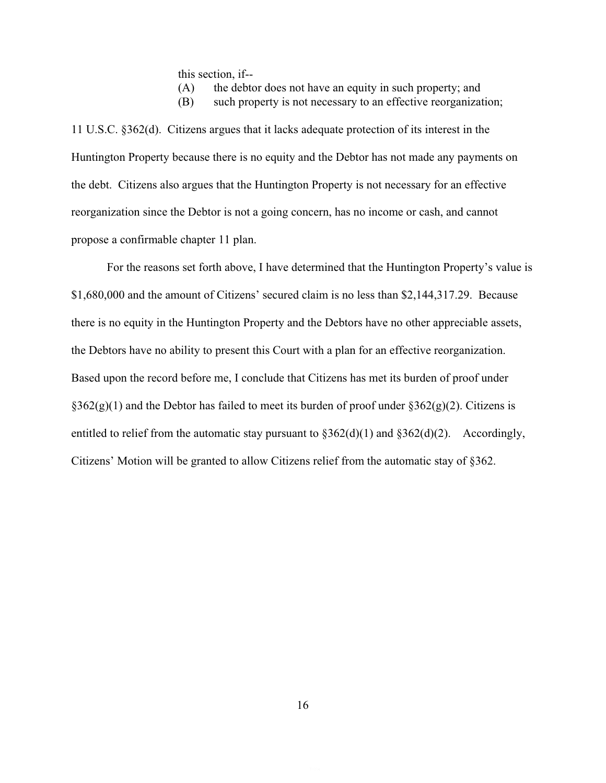this section, if--

(A) the debtor does not have an equity in such property; and

(B) such property is not necessary to an effective reorganization;

11 U.S.C. §362(d). Citizens argues that it lacks adequate protection of its interest in the Huntington Property because there is no equity and the Debtor has not made any payments on the debt. Citizens also argues that the Huntington Property is not necessary for an effective reorganization since the Debtor is not a going concern, has no income or cash, and cannot propose a confirmable chapter 11 plan.

For the reasons set forth above, I have determined that the Huntington Property's value is \$1,680,000 and the amount of Citizens' secured claim is no less than \$2,144,317.29. Because there is no equity in the Huntington Property and the Debtors have no other appreciable assets, the Debtors have no ability to present this Court with a plan for an effective reorganization. Based upon the record before me, I conclude that Citizens has met its burden of proof under  $\S362(g)(1)$  and the Debtor has failed to meet its burden of proof under  $\S362(g)(2)$ . Citizens is entitled to relief from the automatic stay pursuant to  $\S 362(d)(1)$  and  $\S 362(d)(2)$ . Accordingly, Citizens' Motion will be granted to allow Citizens relief from the automatic stay of §362.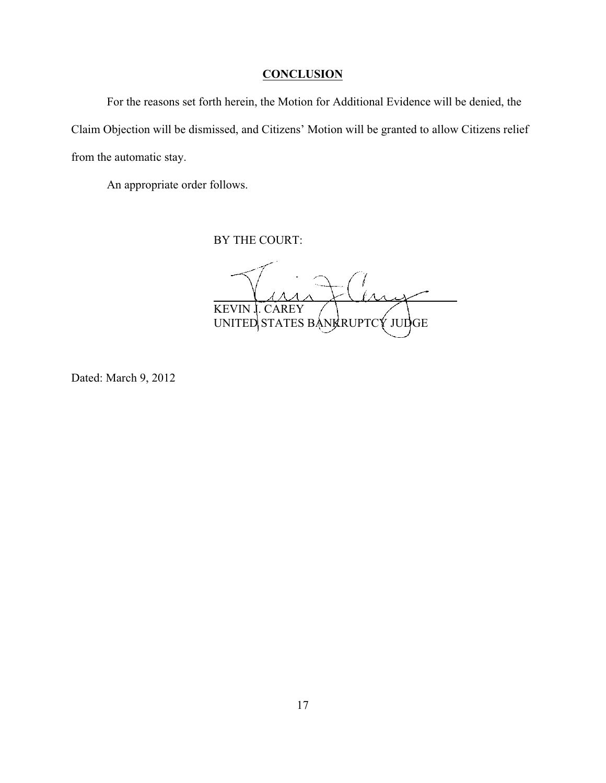# **CONCLUSION**

For the reasons set forth herein, the Motion for Additional Evidence will be denied, the Claim Objection will be dismissed, and Citizens' Motion will be granted to allow Citizens relief from the automatic stay.

An appropriate order follows.

BY THE COURT:

l  $\overline{\mathcal{A}}$  $\lambda$ KEVIN J. CAREY UNITED STATES BANKRUPTCY JUDGE

Dated: March 9, 2012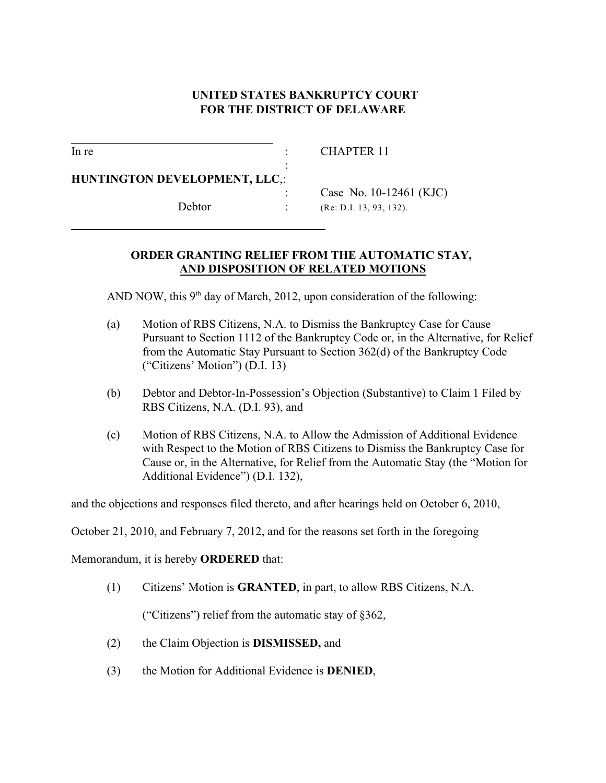# **UNITED STATES BANKRUPTCY COURT FOR THE DISTRICT OF DELAWARE**

l

l

In re : CHAPTER 11

**HUNTINGTON DEVELOPMENT, LLC**,:

Case No. 10-12461 (KJC) Debtor : (Re: D.I. 13, 93, 132).

# **ORDER GRANTING RELIEF FROM THE AUTOMATIC STAY, AND DISPOSITION OF RELATED MOTIONS**

AND NOW, this  $9<sup>th</sup>$  day of March, 2012, upon consideration of the following:

:

- (a) Motion of RBS Citizens, N.A. to Dismiss the Bankruptcy Case for Cause Pursuant to Section 1112 of the Bankruptcy Code or, in the Alternative, for Relief from the Automatic Stay Pursuant to Section 362(d) of the Bankruptcy Code ("Citizens' Motion") (D.I. 13)
- (b) Debtor and Debtor-In-Possession's Objection (Substantive) to Claim 1 Filed by RBS Citizens, N.A. (D.I. 93), and
- (c) Motion of RBS Citizens, N.A. to Allow the Admission of Additional Evidence with Respect to the Motion of RBS Citizens to Dismiss the Bankruptcy Case for Cause or, in the Alternative, for Relief from the Automatic Stay (the "Motion for Additional Evidence") (D.I. 132),

and the objections and responses filed thereto, and after hearings held on October 6, 2010,

October 21, 2010, and February 7, 2012, and for the reasons set forth in the foregoing

Memorandum, it is hereby **ORDERED** that:

(1) Citizens' Motion is **GRANTED**, in part, to allow RBS Citizens, N.A.

("Citizens") relief from the automatic stay of §362,

- (2) the Claim Objection is **DISMISSED,** and
- (3) the Motion for Additional Evidence is **DENIED**,